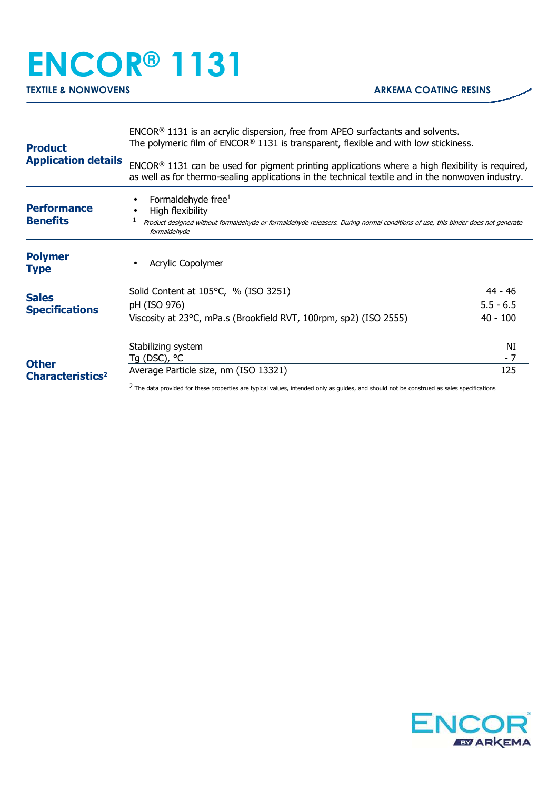## **ENCOR® 1131**

| <b>Product</b><br><b>Application details</b> | $ENCOR®$ 1131 is an acrylic dispersion, free from APEO surfactants and solvents.<br>The polymeric film of $ENCOR® 1131$ is transparent, flexible and with low stickiness.                              |             |
|----------------------------------------------|--------------------------------------------------------------------------------------------------------------------------------------------------------------------------------------------------------|-------------|
|                                              | $ENCOR®$ 1131 can be used for pigment printing applications where a high flexibility is required,<br>as well as for thermo-sealing applications in the technical textile and in the nonwoven industry. |             |
| <b>Performance</b><br><b>Benefits</b>        | Formaldehyde free <sup>1</sup><br>High flexibility<br>Product designed without formaldehyde or formaldehyde releasers. During normal conditions of use, this binder does not generate<br>formaldehyde  |             |
| <b>Polymer</b><br><b>Type</b>                | Acrylic Copolymer                                                                                                                                                                                      |             |
| <b>Sales</b><br><b>Specifications</b>        | Solid Content at $105^{\circ}$ C, % (ISO 3251)                                                                                                                                                         | 44 - 46     |
|                                              | pH (ISO 976)                                                                                                                                                                                           | $5.5 - 6.5$ |
|                                              | Viscosity at 23°C, mPa.s (Brookfield RVT, 100rpm, sp2) (ISO 2555)                                                                                                                                      | $40 - 100$  |
| <b>Other</b><br>Characteristics <sup>2</sup> | Stabilizing system                                                                                                                                                                                     | NI          |
|                                              | Tg (DSC), $^{\circ}$ C                                                                                                                                                                                 | $-7$        |
|                                              | Average Particle size, nm (ISO 13321)                                                                                                                                                                  | 125         |
|                                              | <sup>2</sup> The data provided for these properties are typical values, intended only as guides, and should not be construed as sales specifications                                                   |             |